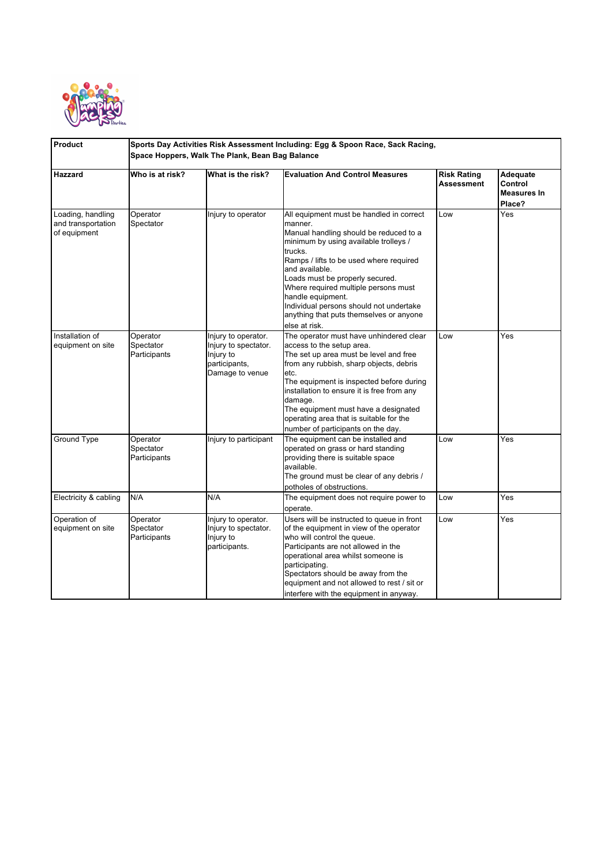

| Product                                                 | Sports Day Activities Risk Assessment Including: Egg & Spoon Race, Sack Racing,<br>Space Hoppers, Walk The Plank, Bean Bag Balance |                                                                                              |                                                                                                                                                                                                                                                                                                                                                                                                                       |                                  |                                              |  |  |
|---------------------------------------------------------|------------------------------------------------------------------------------------------------------------------------------------|----------------------------------------------------------------------------------------------|-----------------------------------------------------------------------------------------------------------------------------------------------------------------------------------------------------------------------------------------------------------------------------------------------------------------------------------------------------------------------------------------------------------------------|----------------------------------|----------------------------------------------|--|--|
| <b>Hazzard</b>                                          | Who is at risk?                                                                                                                    | What is the risk?                                                                            | <b>Evaluation And Control Measures</b>                                                                                                                                                                                                                                                                                                                                                                                | <b>Risk Rating</b><br>Assessment | Adequate<br>Control<br>Measures In<br>Place? |  |  |
| Loading, handling<br>and transportation<br>of equipment | Operator<br>Spectator                                                                                                              | Injury to operator                                                                           | All equipment must be handled in correct<br>manner.<br>Manual handling should be reduced to a<br>minimum by using available trolleys /<br>trucks.<br>Ramps / lifts to be used where required<br>and available.<br>Loads must be properly secured.<br>Where required multiple persons must<br>handle equipment.<br>Individual persons should not undertake<br>anything that puts themselves or anyone<br>else at risk. | Low                              | Yes                                          |  |  |
| Installation of<br>equipment on site                    | Operator<br>Spectator<br>Participants                                                                                              | Injury to operator.<br>Injury to spectator.<br>Injury to<br>participants,<br>Damage to venue | The operator must have unhindered clear<br>access to the setup area.<br>The set up area must be level and free<br>from any rubbish, sharp objects, debris<br>etc.<br>The equipment is inspected before during<br>installation to ensure it is free from any<br>damage.<br>The equipment must have a designated<br>operating area that is suitable for the<br>number of participants on the day.                       | Low                              | Yes                                          |  |  |
| Ground Type                                             | Operator<br>Spectator<br>Participants                                                                                              | Injury to participant                                                                        | The equipment can be installed and<br>operated on grass or hard standing<br>providing there is suitable space<br>available.<br>The ground must be clear of any debris /<br>potholes of obstructions.                                                                                                                                                                                                                  | Low                              | Yes                                          |  |  |
| Electricity & cabling                                   | N/A                                                                                                                                | N/A                                                                                          | The equipment does not require power to<br>operate.                                                                                                                                                                                                                                                                                                                                                                   | Low                              | Yes                                          |  |  |
| Operation of<br>equipment on site                       | Operator<br>Spectator<br>Participants                                                                                              | Injury to operator.<br>Injury to spectator.<br>Injury to<br>participants.                    | Users will be instructed to queue in front<br>of the equipment in view of the operator<br>who will control the queue.<br>Participants are not allowed in the<br>operational area whilst someone is<br>participating.<br>Spectators should be away from the<br>equipment and not allowed to rest / sit or<br>interfere with the equipment in anyway.                                                                   | Low                              | Yes                                          |  |  |